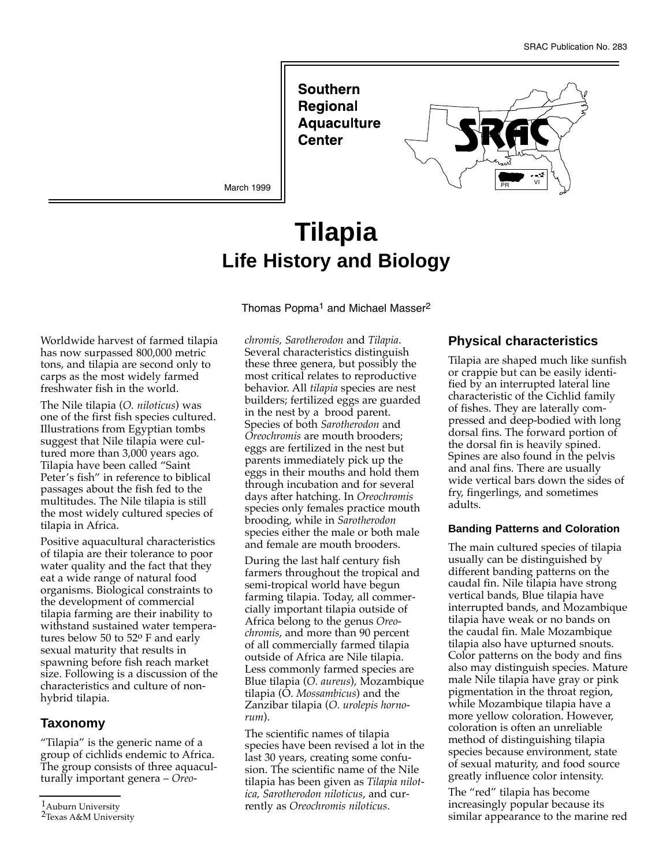Southern Regional **Aquaculture** Center



March 1999

# **Tilapia Life History and Biology**

Thomas Popma<sup>1</sup> and Michael Masser<sup>2</sup>

Worldwide harvest of farmed tilapia has now surpassed 800,000 metric tons, and tilapia are second only to carps as the most widely farmed freshwater fish in the world.

The Nile tilapia (*O. niloticus*) was one of the first fish species cultured. Illustrations from Egyptian tombs suggest that Nile tilapia were cultured more than 3,000 years ago. Tilapia have been called "Saint Peter's fish" in reference to biblical passages about the fish fed to the multitudes. The Nile tilapia is still the most widely cultured species of tilapia in Africa.

Positive aquacultural characteristics of tilapia are their tolerance to poor water quality and the fact that they eat a wide range of natural food organisms. Biological constraints to the development of commercial tilapia farming are their inability to withstand sustained water temperatures below 50 to 52o F and early sexual maturity that results in spawning before fish reach market size. Following is a discussion of the characteristics and culture of nonhybrid tilapia.

#### **Taxonomy**

"Tilapia" is the generic name of a group of cichlids endemic to Africa. The group consists of three aquaculturally important genera – *Oreo-* *chromis, Sarotherodon* and *Tilapia*. Several characteristics distinguish these three genera, but possibly the most critical relates to reproductive behavior. All *tilapia* species are nest builders; fertilized eggs are guarded in the nest by a brood parent. Species of both *Sarotherodon* and *Oreochromis* are mouth brooders; eggs are fertilized in the nest but parents immediately pick up the eggs in their mouths and hold them through incubation and for several days after hatching. In *Oreochromis* species only females practice mouth brooding, while in *Sarotherodon* species either the male or both male and female are mouth brooders.

During the last half century fish farmers throughout the tropical and semi-tropical world have begun farming tilapia. Today, all commercially important tilapia outside of Africa belong to the genus *Oreochromis*, and more than 90 percent of all commercially farmed tilapia outside of Africa are Nile tilapia. Less commonly farmed species are Blue tilapia (*O. aureus*), Mozambique tilapia (O. *Mossambicus*) and the Zanzibar tilapia (*O. urolepis hornorum*).

The scientific names of tilapia species have been revised a lot in the last 30 years, creating some confusion. The scientific name of the Nile tilapia has been given as *Tilapia nilotica, Sarotherodon niloticus*, and currently as *Oreochromis niloticus*.

#### **Physical characteristics**

Tilapia are shaped much like sunfish or crappie but can be easily identified by an interrupted lateral line characteristic of the Cichlid family of fishes. They are laterally compressed and deep-bodied with long dorsal fins. The forward portion of the dorsal fin is heavily spined. Spines are also found in the pelvis and anal fins. There are usually wide vertical bars down the sides of fry, fingerlings, and sometimes adults.

#### **Banding Patterns and Coloration**

The main cultured species of tilapia usually can be distinguished by different banding patterns on the caudal fin. Nile tilapia have strong vertical bands, Blue tilapia have interrupted bands, and Mozambique tilapia have weak or no bands on the caudal fin. Male Mozambique tilapia also have upturned snouts. Color patterns on the body and fins also may distinguish species. Mature male Nile tilapia have gray or pink pigmentation in the throat region, while Mozambique tilapia have a more yellow coloration. However, coloration is often an unreliable method of distinguishing tilapia species because environment, state of sexual maturity, and food source greatly influence color intensity.

The "red" tilapia has become increasingly popular because its similar appearance to the marine red

<sup>1</sup>Auburn University

<sup>2</sup>Texas A&M University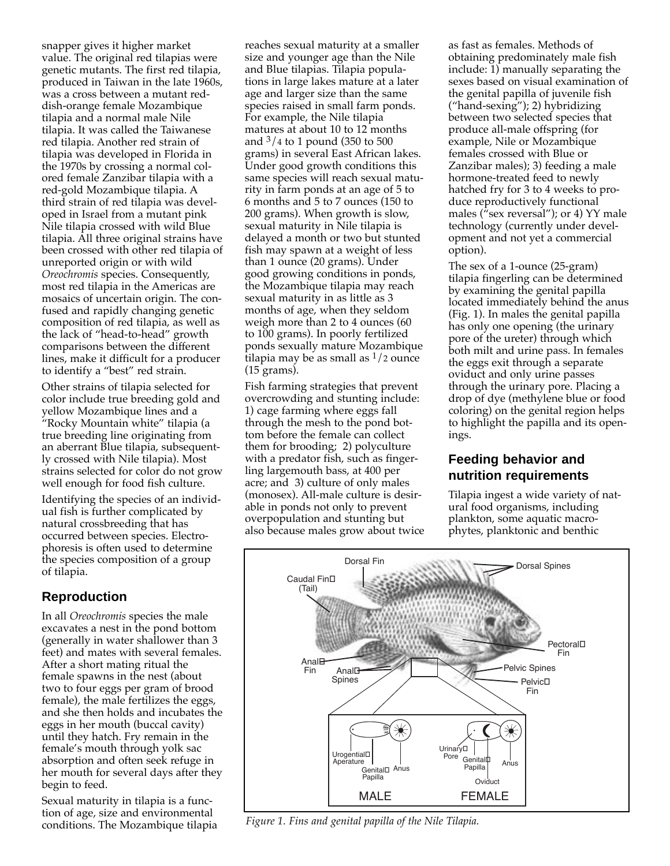snapper gives it higher market value. The original red tilapias were genetic mutants. The first red tilapia, produced in Taiwan in the late 1960s, was a cross between a mutant reddish-orange female Mozambique tilapia and a normal male Nile tilapia. It was called the Taiwanese red tilapia. Another red strain of tilapia was developed in Florida in the 1970s by crossing a normal colored female Zanzibar tilapia with a red-gold Mozambique tilapia. A third strain of red tilapia was developed in Israel from a mutant pink Nile tilapia crossed with wild Blue tilapia. All three original strains have been crossed with other red tilapia of unreported origin or with wild *Oreochromis* species. Consequently, most red tilapia in the Americas are mosaics of uncertain origin. The confused and rapidly changing genetic composition of red tilapia, as well as the lack of "head-to-head" growth comparisons between the different lines, make it difficult for a producer to identify a "best" red strain.

Other strains of tilapia selected for color include true breeding gold and yellow Mozambique lines and a "Rocky Mountain white" tilapia (a true breeding line originating from an aberrant Blue tilapia, subsequently crossed with Nile tilapia). Most strains selected for color do not grow well enough for food fish culture.

Identifying the species of an individual fish is further complicated by natural crossbreeding that has occurred between species. Electrophoresis is often used to determine the species composition of a group of tilapia.

## **Reproduction**

In all *Oreochromis* species the male excavates a nest in the pond bottom (generally in water shallower than 3 feet) and mates with several females. After a short mating ritual the female spawns in the nest (about two to four eggs per gram of brood female), the male fertilizes the eggs, and she then holds and incubates the eggs in her mouth (buccal cavity) until they hatch. Fry remain in the female's mouth through yolk sac absorption and often seek refuge in her mouth for several days after they begin to feed.

Sexual maturity in tilapia is a function of age, size and environmental conditions. The Mozambique tilapia reaches sexual maturity at a smaller size and younger age than the Nile and Blue tilapias. Tilapia populations in large lakes mature at a later age and larger size than the same species raised in small farm ponds. For example, the Nile tilapia matures at about 10 to 12 months and 3/4 to 1 pound (350 to 500 grams) in several East African lakes. Under good growth conditions this same species will reach sexual maturity in farm ponds at an age of 5 to 6 months and 5 to 7 ounces (150 to 200 grams). When growth is slow, sexual maturity in Nile tilapia is delayed a month or two but stunted fish may spawn at a weight of less than 1 ounce (20 grams). Under good growing conditions in ponds, the Mozambique tilapia may reach sexual maturity in as little as 3 months of age, when they seldom weigh more than 2 to 4 ounces (60 to 100 grams). In poorly fertilized ponds sexually mature Mozambique tilapia may be as small as  $1/2$  ounce (15 grams).

Fish farming strategies that prevent overcrowding and stunting include: 1) cage farming where eggs fall through the mesh to the pond bottom before the female can collect them for brooding; 2) polyculture with a predator fish, such as fingerling largemouth bass, at 400 per acre; and 3) culture of only males (monosex). All-male culture is desirable in ponds not only to prevent overpopulation and stunting but also because males grow about twice

as fast as females. Methods of obtaining predominately male fish include: 1) manually separating the sexes based on visual examination of the genital papilla of juvenile fish ("hand-sexing"); 2) hybridizing between two selected species that produce all-male offspring (for example, Nile or Mozambique females crossed with Blue or Zanzibar males); 3) feeding a male hormone-treated feed to newly hatched fry for 3 to 4 weeks to produce reproductively functional males ( $\tilde{r}$ sex reversal"); or 4) YY male technology (currently under development and not yet a commercial option).

The sex of a 1-ounce (25-gram) tilapia fingerling can be determined by examining the genital papilla located immediately behind the anus (Fig. 1). In males the genital papilla has only one opening (the urinary pore of the ureter) through which both milt and urine pass. In females the eggs exit through a separate oviduct and only urine passes through the urinary pore. Placing a drop of dye (methylene blue or food coloring) on the genital region helps to highlight the papilla and its openings.

## **Feeding behavior and nutrition requirements**

Tilapia ingest a wide variety of natural food organisms, including plankton, some aquatic macrophytes, planktonic and benthic



*Figure 1. Fins and genital papilla of the Nile Tilapia.*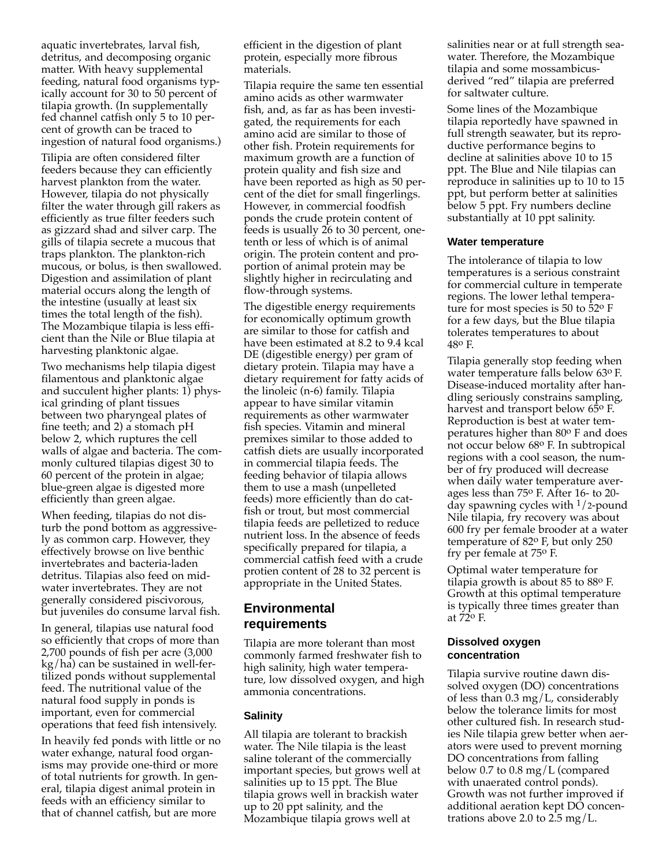aquatic invertebrates, larval fish, detritus, and decomposing organic matter. With heavy supplemental feeding, natural food organisms typically account for 30 to 50 percent of tilapia growth. (In supplementally fed channel catfish only 5 to 10 percent of growth can be traced to ingestion of natural food organisms.)

Tilipia are often considered filter feeders because they can efficiently harvest plankton from the water. However, tilapia do not physically filter the water through gill rakers as efficiently as true filter feeders such as gizzard shad and silver carp. The gills of tilapia secrete a mucous that traps plankton. The plankton-rich mucous, or bolus, is then swallowed. Digestion and assimilation of plant material occurs along the length of the intestine (usually at least six times the total length of the fish). The Mozambique tilapia is less efficient than the Nile or Blue tilapia at harvesting planktonic algae.

Two mechanisms help tilapia digest filamentous and planktonic algae and succulent higher plants: 1) physical grinding of plant tissues between two pharyngeal plates of fine teeth; and 2) a stomach pH below 2, which ruptures the cell walls of algae and bacteria. The commonly cultured tilapias digest 30 to 60 percent of the protein in algae; blue-green algae is digested more efficiently than green algae.

When feeding, tilapias do not disturb the pond bottom as aggressively as common carp. However, they effectively browse on live benthic invertebrates and bacteria-laden detritus. Tilapias also feed on midwater invertebrates. They are not generally considered piscivorous, but juveniles do consume larval fish.

In general, tilapias use natural food so efficiently that crops of more than 2,700 pounds of fish per acre (3,000 kg/ha) can be sustained in well-fertilized ponds without supplemental feed. The nutritional value of the natural food supply in ponds is important, even for commercial operations that feed fish intensively.

In heavily fed ponds with little or no water exhange, natural food organisms may provide one-third or more of total nutrients for growth. In general, tilapia digest animal protein in feeds with an efficiency similar to that of channel catfish, but are more

efficient in the digestion of plant protein, especially more fibrous materials.

Tilapia require the same ten essential amino acids as other warmwater fish, and, as far as has been investigated, the requirements for each amino acid are similar to those of other fish. Protein requirements for maximum growth are a function of protein quality and fish size and have been reported as high as 50 percent of the diet for small fingerlings. However, in commercial foodfish ponds the crude protein content of feeds is usually 26 to 30 percent, onetenth or less of which is of animal origin. The protein content and proportion of animal protein may be slightly higher in recirculating and flow-through systems.

The digestible energy requirements for economically optimum growth are similar to those for catfish and have been estimated at 8.2 to 9.4 kcal DE (digestible energy) per gram of dietary protein. Tilapia may have a dietary requirement for fatty acids of the linoleic (n-6) family. Tilapia appear to have similar vitamin requirements as other warmwater fish species. Vitamin and mineral premixes similar to those added to catfish diets are usually incorporated in commercial tilapia feeds. The feeding behavior of tilapia allows them to use a mash (unpelleted feeds) more efficiently than do catfish or trout, but most commercial tilapia feeds are pelletized to reduce nutrient loss. In the absence of feeds specifically prepared for tilapia, a commercial catfish feed with a crude protien content of 28 to 32 percent is appropriate in the United States.

# **Environmental requirements**

Tilapia are more tolerant than most commonly farmed freshwater fish to high salinity, high water temperature, low dissolved oxygen, and high ammonia concentrations.

#### **Salinity**

All tilapia are tolerant to brackish water. The Nile tilapia is the least saline tolerant of the commercially important species, but grows well at salinities up to 15 ppt. The Blue tilapia grows well in brackish water up to 20 ppt salinity, and the Mozambique tilapia grows well at

salinities near or at full strength seawater. Therefore, the Mozambique tilapia and some mossambicusderived "red" tilapia are preferred for saltwater culture.

Some lines of the Mozambique tilapia reportedly have spawned in full strength seawater, but its reproductive performance begins to decline at salinities above 10 to 15 ppt. The Blue and Nile tilapias can reproduce in salinities up to 10 to 15 ppt, but perform better at salinities below 5 ppt. Fry numbers decline substantially at 10 ppt salinity.

#### **Water temperature**

The intolerance of tilapia to low temperatures is a serious constraint for commercial culture in temperate regions. The lower lethal temperature for most species is 50 to 52o F for a few days, but the Blue tilapia tolerates temperatures to about 48o F.

Tilapia generally stop feeding when water temperature falls below 63o F. Disease-induced mortality after handling seriously constrains sampling, harvest and transport below 65<sup>o</sup> F. Reproduction is best at water temperatures higher than 80o F and does not occur below 68o F. In subtropical regions with a cool season, the number of fry produced will decrease when daily water temperature averages less than 75o F. After 16- to 20 day spawning cycles with  $1/2$ -pound Nile tilapia, fry recovery was about 600 fry per female brooder at a water temperature of 82o F, but only 250 fry per female at 75o F.

Optimal water temperature for tilapia growth is about 85 to 88o F. Growth at this optimal temperature is typically three times greater than at 72o F.

#### **Dissolved oxygen concentration**

Tilapia survive routine dawn dissolved oxygen (DO) concentrations of less than  $0.3 \text{ mg/L}$ , considerably below the tolerance limits for most other cultured fish. In research studies Nile tilapia grew better when aerators were used to prevent morning DO concentrations from falling below 0.7 to 0.8 mg/L (compared with unaerated control ponds). Growth was not further improved if additional aeration kept DO concentrations above 2.0 to  $2.5 \text{ mg/L}$ .